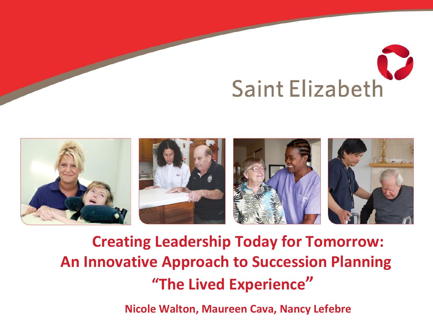# **Saint Elizabeth**



#### **Creating Leadership Today for Tomorrow: An Innovative Approach to Succession Planning "The Lived Experience"**

**Nicole Walton, Maureen Cava, Nancy Lefebre**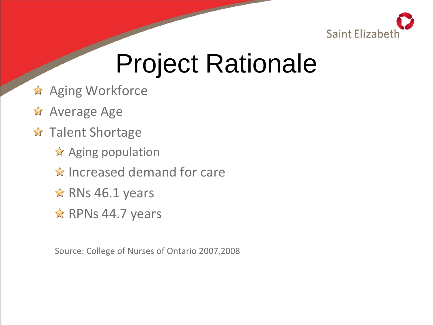

# Project Rationale

- **Aging Workforce**
- **Average Age**
- **A** Talent Shortage
	- $\star$  Aging population
	- $\hat{\mathbf{x}}$  Increased demand for care
	- $\star$  RNs 46.1 years
	- $\hat{\mathbf{x}}$  RPNs 44.7 years

Source: College of Nurses of Ontario 2007,2008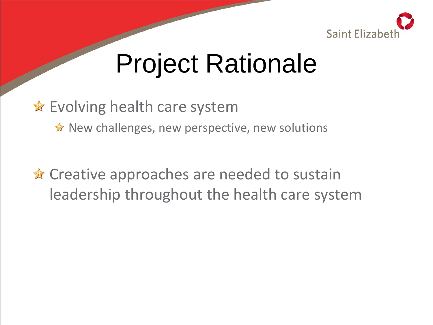

# Project Rationale

#### **★** Evolving health care system

 $\hat{\mathbf{x}}$  New challenges, new perspective, new solutions

**★** Creative approaches are needed to sustain leadership throughout the health care system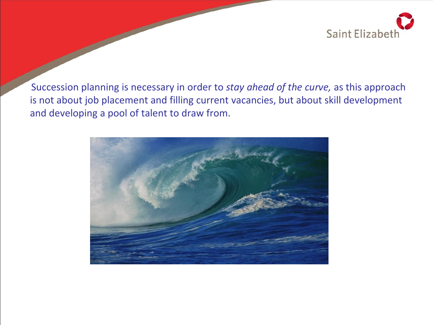

Succession planning is necessary in order to *stay ahead of the curve,* as this approach is not about job placement and filling current vacancies, but about skill development and developing a pool of talent to draw from.

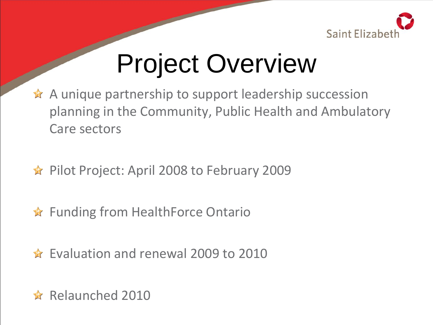

# Project Overview

- $\hat{\mathbf{x}}$  A unique partnership to support leadership succession planning in the Community, Public Health and Ambulatory Care sectors
- **★ Pilot Project: April 2008 to February 2009**
- **★** Funding from HealthForce Ontario
- **★** Evaluation and renewal 2009 to 2010
- **★** Relaunched 2010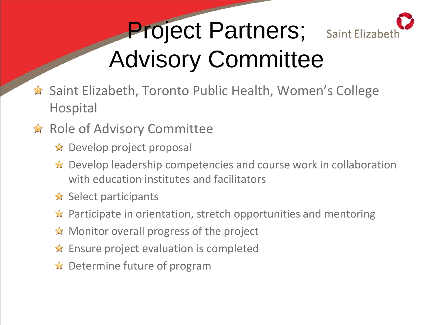

# Project Partners; Advisory Committee

- **★** Saint Elizabeth, Toronto Public Health, Women's College Hospital
- **★ Role of Advisory Committee** 
	- $\bigstar$  Develop project proposal
	- ★ Develop leadership competencies and course work in collaboration with education institutes and facilitators
	- $\mathbf{\hat{x}}$  Select participants
	- **★** Participate in orientation, stretch opportunities and mentoring
	- **★** Monitor overall progress of the project
	- $\triangle$  Ensure project evaluation is completed
	- **★** Determine future of program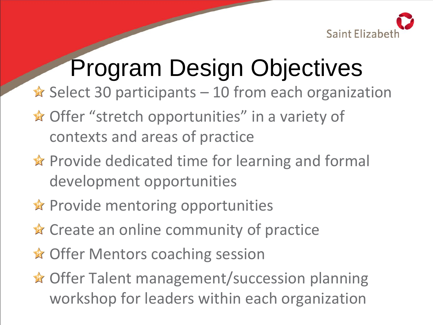

## Program Design Objectives

- $\star$  Select 30 participants 10 from each organization
- **★ Offer "stretch opportunities" in a variety of** contexts and areas of practice
- **★** Provide dedicated time for learning and formal development opportunities
- $\hat{\mathbf{x}}$  Provide mentoring opportunities
- $\star$  Create an online community of practice
- **★ Offer Mentors coaching session**
- **★ Offer Talent management/succession planning** workshop for leaders within each organization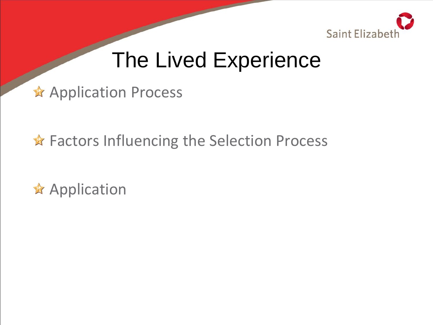

#### The Lived Experience

\* Application Process

**★ Factors Influencing the Selection Process** 

 $\star$  Application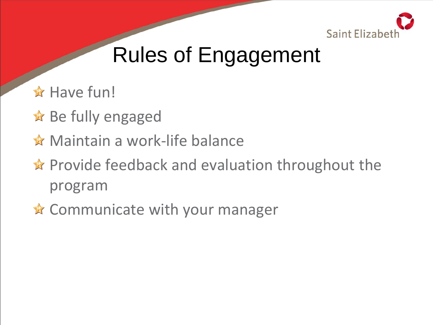

## Rules of Engagement

- **★ Have fun!**
- $\triangle$  Be fully engaged
- **★** Maintain a work-life balance
- $\hat{\mathbf{x}}$  Provide feedback and evaluation throughout the program
- **★ Communicate with your manager**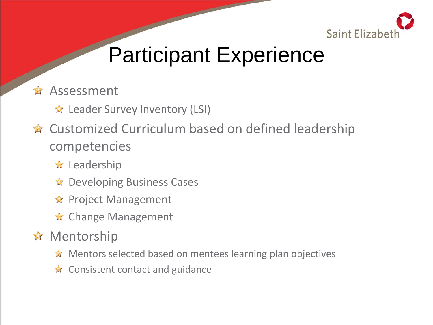

- **Assessment** 
	- **★** Leader Survey Inventory (LSI)
- **★** Customized Curriculum based on defined leadership competencies
	- $\star$  Leadership
	- **★** Developing Business Cases
	- **★** Project Management
	- **★** Change Management
- **★** Mentorship
	- ★ Mentors selected based on mentees learning plan objectives
	- $\triangle$  Consistent contact and guidance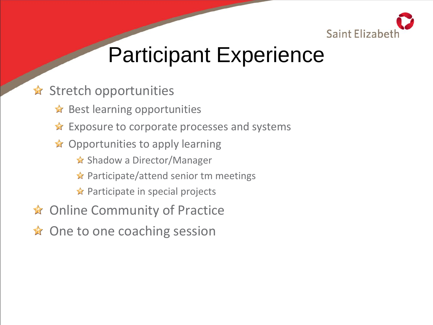

#### **★ Stretch opportunities**

- $\star$  Best learning opportunities
- **★** Exposure to corporate processes and systems
- $\triangle$  Opportunities to apply learning
	- **★ Shadow a Director/Manager**
	- $\star$  Participate/attend senior tm meetings
	- $\triangle$  Participate in special projects
- **★ Online Community of Practice**
- **★** One to one coaching session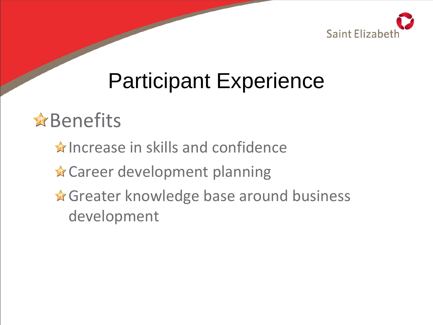

#### **&**Benefits

- $\hat{\mathbf{x}}$  Increase in skills and confidence
- **★ Career development planning**
- **A** Greater knowledge base around business development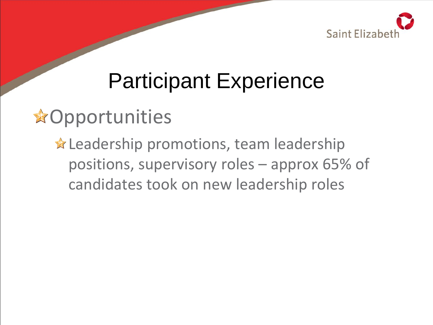

#### **A**Opportunities

**★ Leadership promotions, team leadership** positions, supervisory roles – approx 65% of candidates took on new leadership roles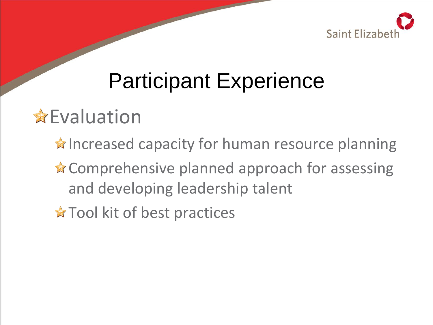

#### **A** Evaluation

- $\hat{\mathbf{x}}$  Increased capacity for human resource planning
- **★ Comprehensive planned approach for assessing** and developing leadership talent
- **★ Tool kit of best practices**